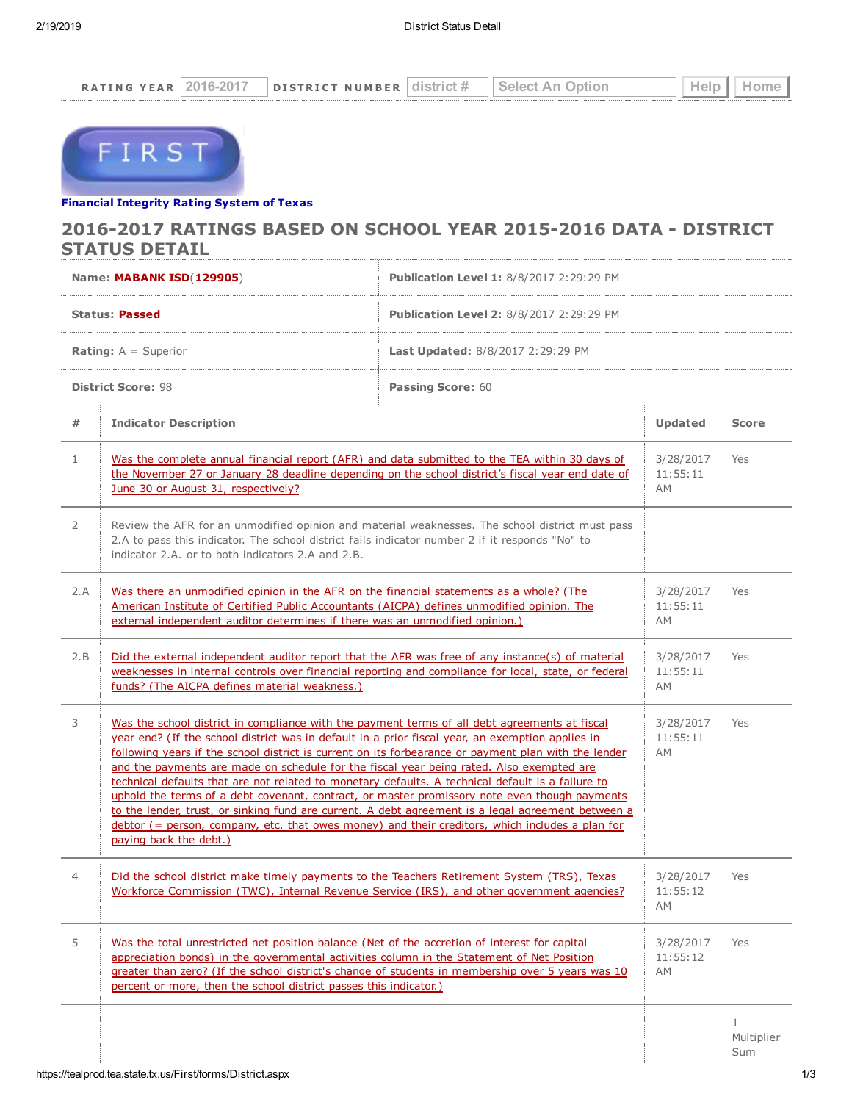

## Financial [Integrity](https://tealprod.tea.state.tx.us/First/forms/Main.aspx) Rating System of Texas

## 2016-2017 RATINGS BASED ON SCHOOL YEAR 2015-2016 DATA - DISTRICT STATUS DETAIL

|                               | Name: MABANK ISD(129905)                                                                                                                                                                                                                                                                                                                                                                                                                                                                                                                                                                                                                                                                                                                                                                                                                       | <b>Publication Level 1: 8/8/2017 2:29:29 PM</b> |                             |                        |
|-------------------------------|------------------------------------------------------------------------------------------------------------------------------------------------------------------------------------------------------------------------------------------------------------------------------------------------------------------------------------------------------------------------------------------------------------------------------------------------------------------------------------------------------------------------------------------------------------------------------------------------------------------------------------------------------------------------------------------------------------------------------------------------------------------------------------------------------------------------------------------------|-------------------------------------------------|-----------------------------|------------------------|
| <b>Status: Passed</b>         |                                                                                                                                                                                                                                                                                                                                                                                                                                                                                                                                                                                                                                                                                                                                                                                                                                                | <b>Publication Level 2: 8/8/2017 2:29:29 PM</b> |                             |                        |
| <b>Rating:</b> $A =$ Superior |                                                                                                                                                                                                                                                                                                                                                                                                                                                                                                                                                                                                                                                                                                                                                                                                                                                | <b>Last Updated:</b> 8/8/2017 2:29:29 PM        |                             |                        |
|                               | <b>District Score: 98</b>                                                                                                                                                                                                                                                                                                                                                                                                                                                                                                                                                                                                                                                                                                                                                                                                                      | <b>Passing Score: 60</b>                        |                             |                        |
| #                             | <b>Indicator Description</b>                                                                                                                                                                                                                                                                                                                                                                                                                                                                                                                                                                                                                                                                                                                                                                                                                   |                                                 | <b>Updated</b>              | <b>Score</b>           |
| $\mathbf{1}$                  | Was the complete annual financial report (AFR) and data submitted to the TEA within 30 days of<br>the November 27 or January 28 deadline depending on the school district's fiscal year end date of<br>June 30 or August 31, respectively?                                                                                                                                                                                                                                                                                                                                                                                                                                                                                                                                                                                                     |                                                 | 3/28/2017<br>11:55:11<br>AM | Yes                    |
| 2                             | Review the AFR for an unmodified opinion and material weaknesses. The school district must pass<br>2.A to pass this indicator. The school district fails indicator number 2 if it responds "No" to<br>indicator 2.A. or to both indicators 2.A and 2.B.                                                                                                                                                                                                                                                                                                                                                                                                                                                                                                                                                                                        |                                                 |                             |                        |
| 2.A                           | Was there an unmodified opinion in the AFR on the financial statements as a whole? (The<br>American Institute of Certified Public Accountants (AICPA) defines unmodified opinion. The<br>external independent auditor determines if there was an unmodified opinion.)                                                                                                                                                                                                                                                                                                                                                                                                                                                                                                                                                                          |                                                 | 3/28/2017<br>11:55:11<br>AM | Yes                    |
| 2.B                           | Did the external independent auditor report that the AFR was free of any instance(s) of material<br>weaknesses in internal controls over financial reporting and compliance for local, state, or federal<br>funds? (The AICPA defines material weakness.)                                                                                                                                                                                                                                                                                                                                                                                                                                                                                                                                                                                      |                                                 | 3/28/2017<br>11:55:11<br>AM | Yes                    |
| 3                             | Was the school district in compliance with the payment terms of all debt agreements at fiscal<br>year end? (If the school district was in default in a prior fiscal year, an exemption applies in<br>following years if the school district is current on its forbearance or payment plan with the lender<br>and the payments are made on schedule for the fiscal year being rated. Also exempted are<br>technical defaults that are not related to monetary defaults. A technical default is a failure to<br>uphold the terms of a debt covenant, contract, or master promissory note even though payments<br>to the lender, trust, or sinking fund are current. A debt agreement is a legal agreement between a<br>debtor (= person, company, etc. that owes money) and their creditors, which includes a plan for<br>paying back the debt.) |                                                 | 3/28/2017<br>11:55:11<br>AM | Yes                    |
| 4                             | Did the school district make timely payments to the Teachers Retirement System (TRS), Texas<br>Workforce Commission (TWC), Internal Revenue Service (IRS), and other government agencies?                                                                                                                                                                                                                                                                                                                                                                                                                                                                                                                                                                                                                                                      |                                                 | 3/28/2017<br>11:55:12<br>AM | Yes                    |
| 5                             | Was the total unrestricted net position balance (Net of the accretion of interest for capital<br>appreciation bonds) in the governmental activities column in the Statement of Net Position<br>greater than zero? (If the school district's change of students in membership over 5 years was 10<br>percent or more, then the school district passes this indicator.)                                                                                                                                                                                                                                                                                                                                                                                                                                                                          |                                                 | 3/28/2017<br>11:55:12<br>AM | Yes                    |
|                               |                                                                                                                                                                                                                                                                                                                                                                                                                                                                                                                                                                                                                                                                                                                                                                                                                                                |                                                 |                             | 1<br>Multiplier<br>Sum |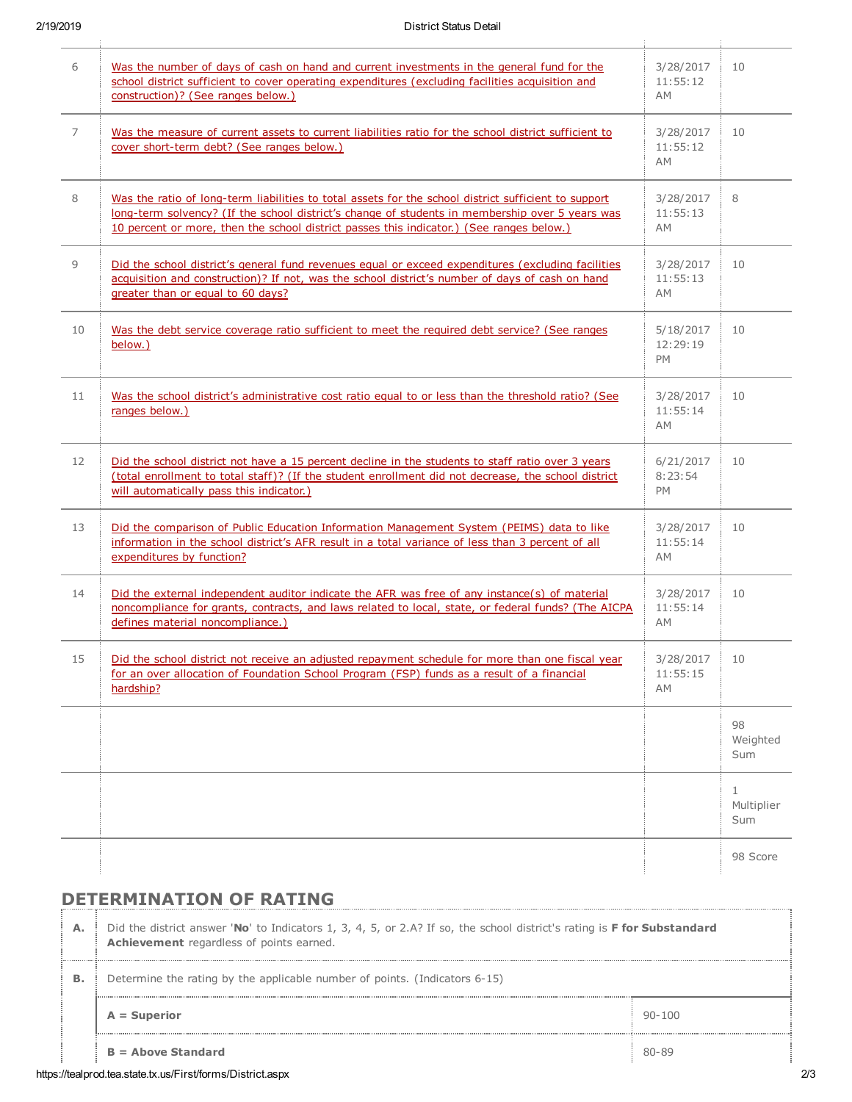| 6              | Was the number of days of cash on hand and current investments in the general fund for the<br>school district sufficient to cover operating expenditures (excluding facilities acquisition and<br>construction)? (See ranges below.)                                                                | 3/28/2017<br>11:55:12<br><b>AM</b> | 10                                |
|----------------|-----------------------------------------------------------------------------------------------------------------------------------------------------------------------------------------------------------------------------------------------------------------------------------------------------|------------------------------------|-----------------------------------|
| $\overline{7}$ | Was the measure of current assets to current liabilities ratio for the school district sufficient to<br>cover short-term debt? (See ranges below.)                                                                                                                                                  | 3/28/2017<br>11:55:12<br>AM        | 10                                |
| 8              | Was the ratio of long-term liabilities to total assets for the school district sufficient to support<br>long-term solvency? (If the school district's change of students in membership over 5 years was<br>10 percent or more, then the school district passes this indicator.) (See ranges below.) | 3/28/2017<br>11:55:13<br>AM        | 8                                 |
| 9              | Did the school district's general fund revenues equal or exceed expenditures (excluding facilities<br>acquisition and construction)? If not, was the school district's number of days of cash on hand<br>greater than or equal to 60 days?                                                          | 3/28/2017<br>11:55:13<br>AM        | 10                                |
| 10             | Was the debt service coverage ratio sufficient to meet the required debt service? (See ranges<br>below.)                                                                                                                                                                                            | 5/18/2017<br>12:29:19<br>PM        | 10                                |
| 11             | Was the school district's administrative cost ratio equal to or less than the threshold ratio? (See<br>ranges below.)                                                                                                                                                                               | 3/28/2017<br>11:55:14<br>AM        | 10                                |
| 12             | Did the school district not have a 15 percent decline in the students to staff ratio over 3 years<br>(total enrollment to total staff)? (If the student enrollment did not decrease, the school district<br>will automatically pass this indicator.)                                                | 6/21/2017<br>8:23:54<br>PM         | 10                                |
| 13             | Did the comparison of Public Education Information Management System (PEIMS) data to like<br>information in the school district's AFR result in a total variance of less than 3 percent of all<br>expenditures by function?                                                                         | 3/28/2017<br>11:55:14<br>AM        | 10                                |
| 14             | Did the external independent auditor indicate the AFR was free of any instance(s) of material<br>noncompliance for grants, contracts, and laws related to local, state, or federal funds? (The AICPA<br>defines material noncompliance.)                                                            | 3/28/2017<br>11:55:14<br>AM        | 10                                |
| 15             | Did the school district not receive an adjusted repayment schedule for more than one fiscal year<br>for an over allocation of Foundation School Program (FSP) funds as a result of a financial<br>hardship?                                                                                         | 3/28/2017<br>11:55:15<br>AM        | 10                                |
|                |                                                                                                                                                                                                                                                                                                     |                                    | 98<br>Weighted<br>Sum             |
|                |                                                                                                                                                                                                                                                                                                     |                                    | $\mathbf{1}$<br>Multiplier<br>Sum |
|                |                                                                                                                                                                                                                                                                                                     |                                    | 98 Score                          |

## DETERMINATION OF RATING

|    | $B =$ Above Standard                                                                                                                                                       | 80-89      |  |  |  |
|----|----------------------------------------------------------------------------------------------------------------------------------------------------------------------------|------------|--|--|--|
|    | $A = Superior$                                                                                                                                                             | $90 - 100$ |  |  |  |
| в. | Determine the rating by the applicable number of points. (Indicators 6-15)                                                                                                 |            |  |  |  |
| А. | Did the district answer 'No' to Indicators 1, 3, 4, 5, or 2.A? If so, the school district's rating is <b>F for Substandard</b><br>Achievement regardless of points earned. |            |  |  |  |